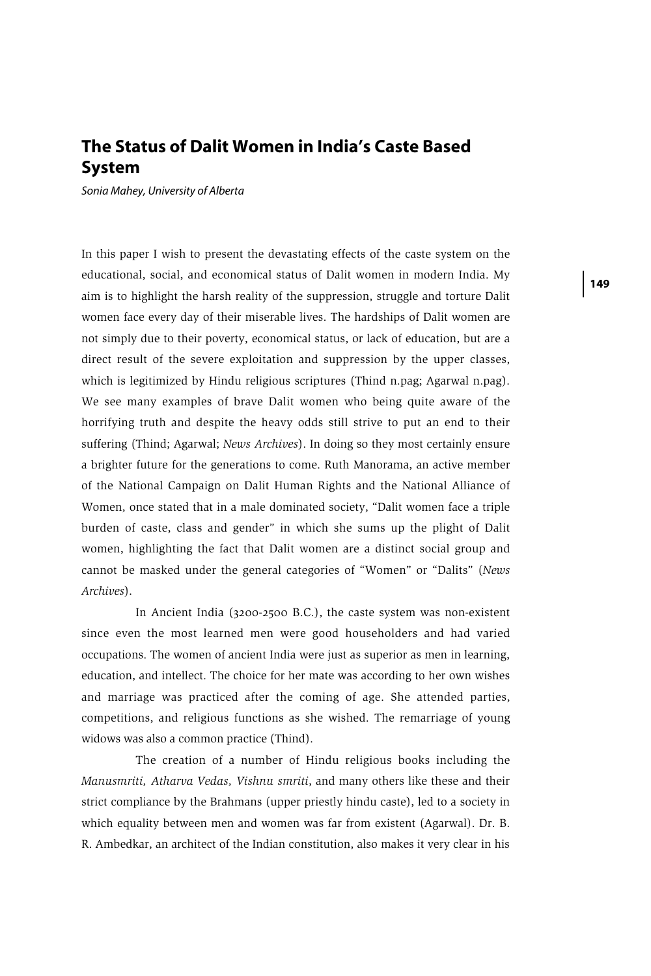## **The Status of Dalit Women in India's Caste Based System**

*Sonia Mahey, University of Alberta*

In this paper I wish to present the devastating effects of the caste system on the educational, social, and economical status of Dalit women in modern India. My aim is to highlight the harsh reality of the suppression, struggle and torture Dalit women face every day of their miserable lives. The hardships of Dalit women are not simply due to their poverty, economical status, or lack of education, but are a direct result of the severe exploitation and suppression by the upper classes, which is legitimized by Hindu religious scriptures (Thind n.pag; Agarwal n.pag). We see many examples of brave Dalit women who being quite aware of the horrifying truth and despite the heavy odds still strive to put an end to their suffering (Thind; Agarwal; *News Archives*). In doing so they most certainly ensure a brighter future for the generations to come. Ruth Manorama, an active member of the National Campaign on Dalit Human Rights and the National Alliance of Women, once stated that in a male dominated society, "Dalit women face a triple burden of caste, class and gender" in which she sums up the plight of Dalit women, highlighting the fact that Dalit women are a distinct social group and cannot be masked under the general categories of "Women" or "Dalits" (*News Archives*).

In Ancient India (3200-2500 B.C.), the caste system was non-existent since even the most learned men were good householders and had varied occupations. The women of ancient India were just as superior as men in learning, education, and intellect. The choice for her mate was according to her own wishes and marriage was practiced after the coming of age. She attended parties, competitions, and religious functions as she wished. The remarriage of young widows was also a common practice (Thind).

The creation of a number of Hindu religious books including the *Manusmriti, Atharva Vedas, Vishnu smriti*, and many others like these and their strict compliance by the Brahmans (upper priestly hindu caste), led to a society in which equality between men and women was far from existent (Agarwal). Dr. B. R. Ambedkar, an architect of the Indian constitution, also makes it very clear in his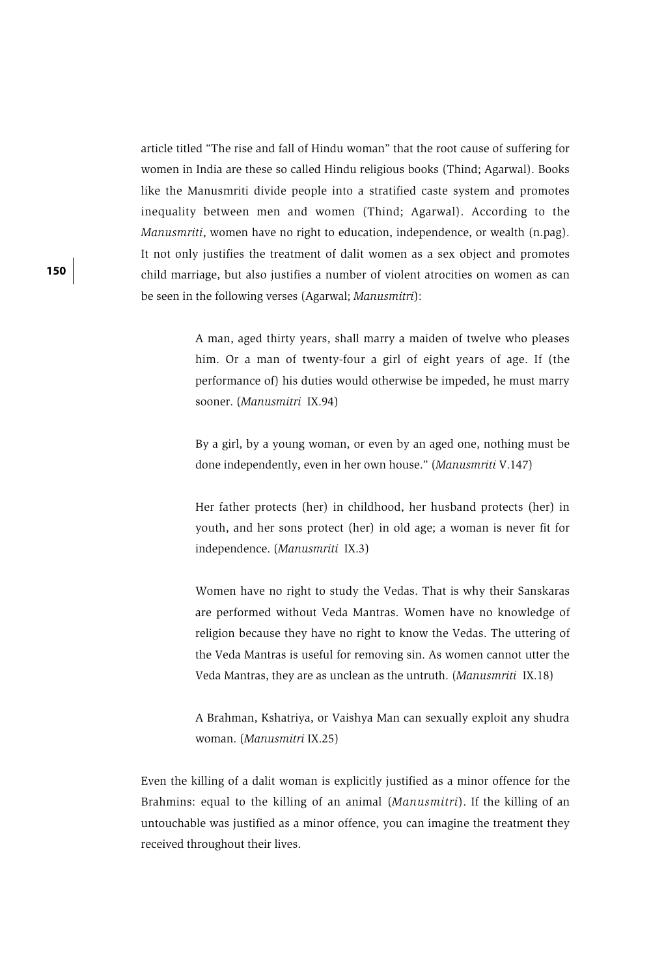article titled "The rise and fall of Hindu woman" that the root cause of suffering for women in India are these so called Hindu religious books (Thind; Agarwal). Books like the Manusmriti divide people into a stratified caste system and promotes inequality between men and women (Thind; Agarwal). According to the *Manusmriti*, women have no right to education, independence, or wealth (n.pag). It not only justifies the treatment of dalit women as a sex object and promotes child marriage, but also justifies a number of violent atrocities on women as can be seen in the following verses (Agarwal; *Manusmitri*):

> A man, aged thirty years, shall marry a maiden of twelve who pleases him. Or a man of twenty-four a girl of eight years of age. If (the performance of) his duties would otherwise be impeded, he must marry sooner. (*Manusmitri* IX.94)

> By a girl, by a young woman, or even by an aged one, nothing must be done independently, even in her own house." (*Manusmriti* V.147)

> Her father protects (her) in childhood, her husband protects (her) in youth, and her sons protect (her) in old age; a woman is never fit for independence. (*Manusmriti* IX.3)

> Women have no right to study the Vedas. That is why their Sanskaras are performed without Veda Mantras. Women have no knowledge of religion because they have no right to know the Vedas. The uttering of the Veda Mantras is useful for removing sin. As women cannot utter the Veda Mantras, they are as unclean as the untruth. (*Manusmriti* IX.18)

> A Brahman, Kshatriya, or Vaishya Man can sexually exploit any shudra woman. (*Manusmitri* IX.25)

Even the killing of a dalit woman is explicitly justified as a minor offence for the Brahmins: equal to the killing of an animal (*Manusmitri*). If the killing of an untouchable was justified as a minor offence, you can imagine the treatment they received throughout their lives.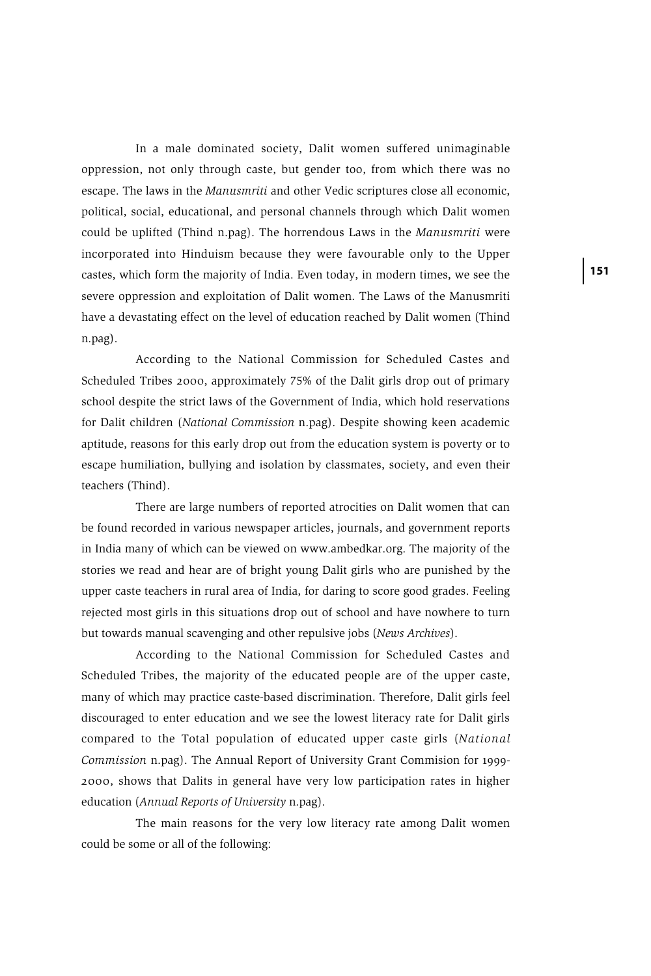In a male dominated society, Dalit women suffered unimaginable oppression, not only through caste, but gender too, from which there was no escape. The laws in the *Manusmriti* and other Vedic scriptures close all economic, political, social, educational, and personal channels through which Dalit women could be uplifted (Thind n.pag). The horrendous Laws in the *Manusmriti* were incorporated into Hinduism because they were favourable only to the Upper castes, which form the majority of India. Even today, in modern times, we see the severe oppression and exploitation of Dalit women. The Laws of the Manusmriti have a devastating effect on the level of education reached by Dalit women (Thind n.pag).

According to the National Commission for Scheduled Castes and Scheduled Tribes 2000, approximately 75% of the Dalit girls drop out of primary school despite the strict laws of the Government of India, which hold reservations for Dalit children (*National Commission* n.pag). Despite showing keen academic aptitude, reasons for this early drop out from the education system is poverty or to escape humiliation, bullying and isolation by classmates, society, and even their teachers (Thind).

There are large numbers of reported atrocities on Dalit women that can be found recorded in various newspaper articles, journals, and government reports in India many of which can be viewed on www.ambedkar.org. The majority of the stories we read and hear are of bright young Dalit girls who are punished by the upper caste teachers in rural area of India, for daring to score good grades. Feeling rejected most girls in this situations drop out of school and have nowhere to turn but towards manual scavenging and other repulsive jobs (*News Archives*).

According to the National Commission for Scheduled Castes and Scheduled Tribes, the majority of the educated people are of the upper caste, many of which may practice caste-based discrimination. Therefore, Dalit girls feel discouraged to enter education and we see the lowest literacy rate for Dalit girls compared to the Total population of educated upper caste girls (*National Commission* n.pag). The Annual Report of University Grant Commision for 1999- 2000, shows that Dalits in general have very low participation rates in higher education (*Annual Reports of University* n.pag).

The main reasons for the very low literacy rate among Dalit women could be some or all of the following: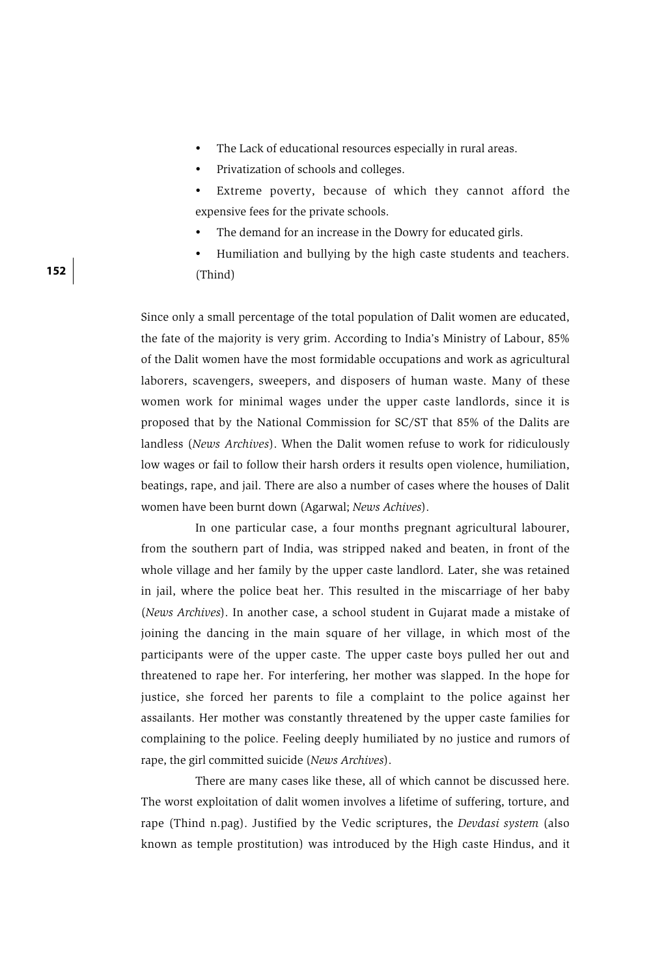- The Lack of educational resources especially in rural areas.
- Privatization of schools and colleges.
- Extreme poverty, because of which they cannot afford the expensive fees for the private schools.
- The demand for an increase in the Dowry for educated girls.
- Humiliation and bullying by the high caste students and teachers. (Thind)

Since only a small percentage of the total population of Dalit women are educated, the fate of the majority is very grim. According to India's Ministry of Labour, 85% of the Dalit women have the most formidable occupations and work as agricultural laborers, scavengers, sweepers, and disposers of human waste. Many of these women work for minimal wages under the upper caste landlords, since it is proposed that by the National Commission for SC/ST that 85% of the Dalits are landless (*News Archives*). When the Dalit women refuse to work for ridiculously low wages or fail to follow their harsh orders it results open violence, humiliation, beatings, rape, and jail. There are also a number of cases where the houses of Dalit women have been burnt down (Agarwal; *News Achives*).

In one particular case, a four months pregnant agricultural labourer, from the southern part of India, was stripped naked and beaten, in front of the whole village and her family by the upper caste landlord. Later, she was retained in jail, where the police beat her. This resulted in the miscarriage of her baby (*News Archives*). In another case, a school student in Gujarat made a mistake of joining the dancing in the main square of her village, in which most of the participants were of the upper caste. The upper caste boys pulled her out and threatened to rape her. For interfering, her mother was slapped. In the hope for justice, she forced her parents to file a complaint to the police against her assailants. Her mother was constantly threatened by the upper caste families for complaining to the police. Feeling deeply humiliated by no justice and rumors of rape, the girl committed suicide (*News Archives*).

There are many cases like these, all of which cannot be discussed here. The worst exploitation of dalit women involves a lifetime of suffering, torture, and rape (Thind n.pag). Justified by the Vedic scriptures, the *Devdasi system* (also known as temple prostitution) was introduced by the High caste Hindus, and it

**152**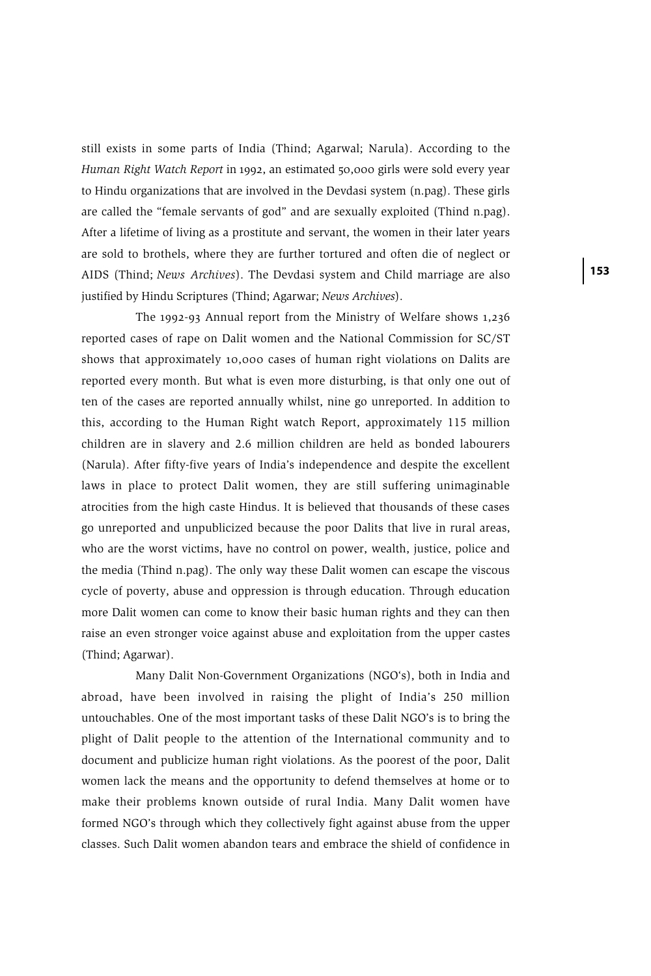still exists in some parts of India (Thind; Agarwal; Narula). According to the *Human Right Watch Report* in 1992, an estimated 50,000 girls were sold every year to Hindu organizations that are involved in the Devdasi system (n.pag). These girls are called the "female servants of god" and are sexually exploited (Thind n.pag). After a lifetime of living as a prostitute and servant, the women in their later years are sold to brothels, where they are further tortured and often die of neglect or AIDS (Thind; *News Archives*). The Devdasi system and Child marriage are also justified by Hindu Scriptures (Thind; Agarwar; *News Archives*).

The 1992-93 Annual report from the Ministry of Welfare shows 1,236 reported cases of rape on Dalit women and the National Commission for SC/ST shows that approximately 10,000 cases of human right violations on Dalits are reported every month. But what is even more disturbing, is that only one out of ten of the cases are reported annually whilst, nine go unreported. In addition to this, according to the Human Right watch Report, approximately 115 million children are in slavery and 2.6 million children are held as bonded labourers (Narula). After fifty-five years of India's independence and despite the excellent laws in place to protect Dalit women, they are still suffering unimaginable atrocities from the high caste Hindus. It is believed that thousands of these cases go unreported and unpublicized because the poor Dalits that live in rural areas, who are the worst victims, have no control on power, wealth, justice, police and the media (Thind n.pag). The only way these Dalit women can escape the viscous cycle of poverty, abuse and oppression is through education. Through education more Dalit women can come to know their basic human rights and they can then raise an even stronger voice against abuse and exploitation from the upper castes (Thind; Agarwar).

Many Dalit Non-Government Organizations (NGO's), both in India and abroad, have been involved in raising the plight of India's 250 million untouchables. One of the most important tasks of these Dalit NGO's is to bring the plight of Dalit people to the attention of the International community and to document and publicize human right violations. As the poorest of the poor, Dalit women lack the means and the opportunity to defend themselves at home or to make their problems known outside of rural India. Many Dalit women have formed NGO's through which they collectively fight against abuse from the upper classes. Such Dalit women abandon tears and embrace the shield of confidence in